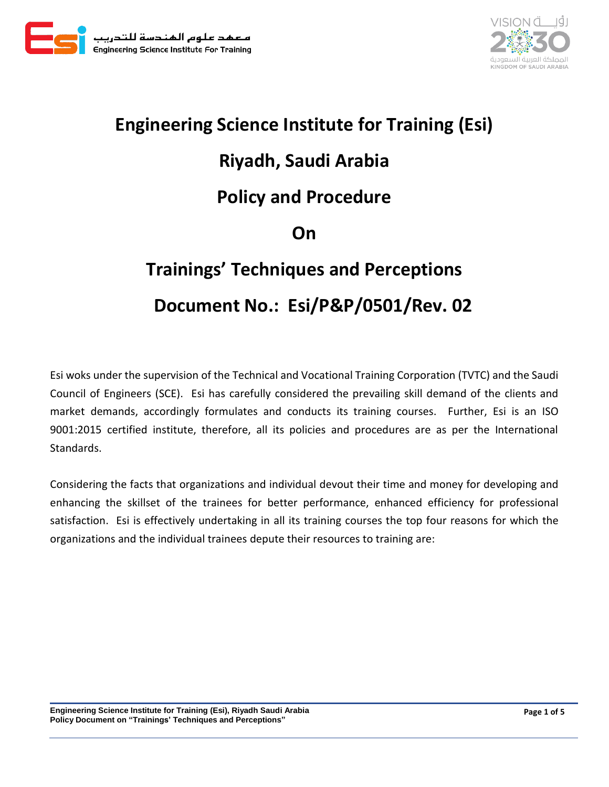



## **Engineering Science Institute for Training (Esi) Riyadh, Saudi Arabia Policy and Procedure On Trainings' Techniques and Perceptions Document No.: Esi/P&P/0501/Rev. 02**

Esi woks under the supervision of the Technical and Vocational Training Corporation (TVTC) and the Saudi Council of Engineers (SCE). Esi has carefully considered the prevailing skill demand of the clients and market demands, accordingly formulates and conducts its training courses. Further, Esi is an ISO 9001:2015 certified institute, therefore, all its policies and procedures are as per the International Standards.

Considering the facts that organizations and individual devout their time and money for developing and enhancing the skillset of the trainees for better performance, enhanced efficiency for professional satisfaction. Esi is effectively undertaking in all its training courses the top four reasons for which the organizations and the individual trainees depute their resources to training are: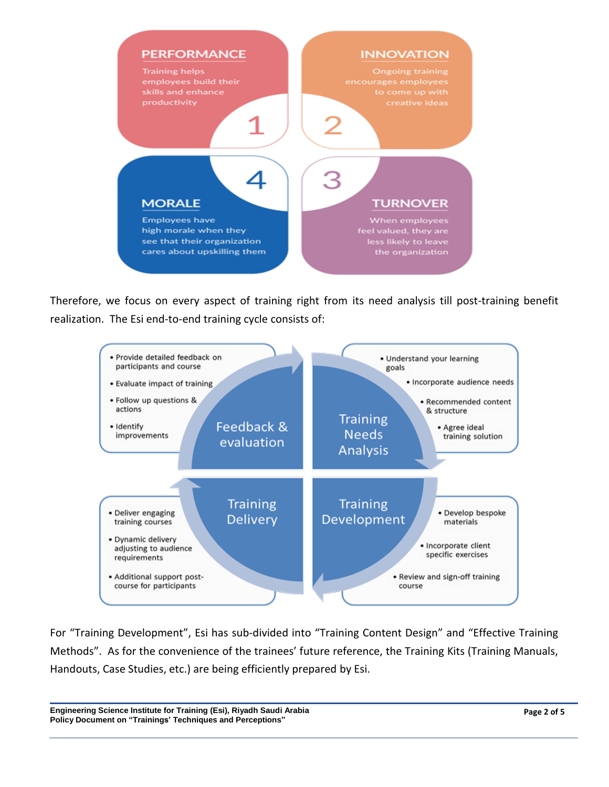

Therefore, we focus on every aspect of training right from its need analysis till post-training benefit realization. The Esi end-to-end training cycle consists of:



For "Training Development", Esi has sub-divided into "Training Content Design" and "Effective Training Methods". As for the convenience of the trainees' future reference, the Training Kits (Training Manuals, Handouts, Case Studies, etc.) are being efficiently prepared by Esi.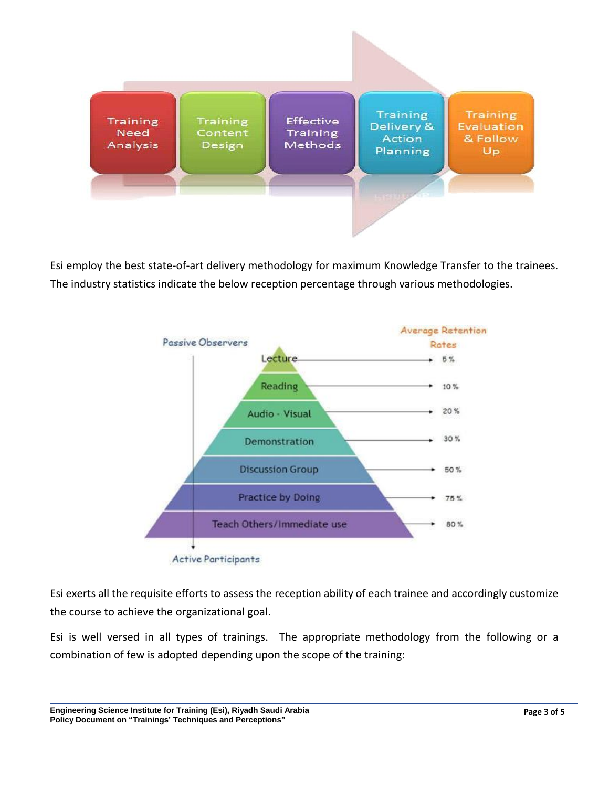

Esi employ the best state-of-art delivery methodology for maximum Knowledge Transfer to the trainees. The industry statistics indicate the below reception percentage through various methodologies.



Esi exerts all the requisite efforts to assess the reception ability of each trainee and accordingly customize the course to achieve the organizational goal.

Esi is well versed in all types of trainings. The appropriate methodology from the following or a combination of few is adopted depending upon the scope of the training: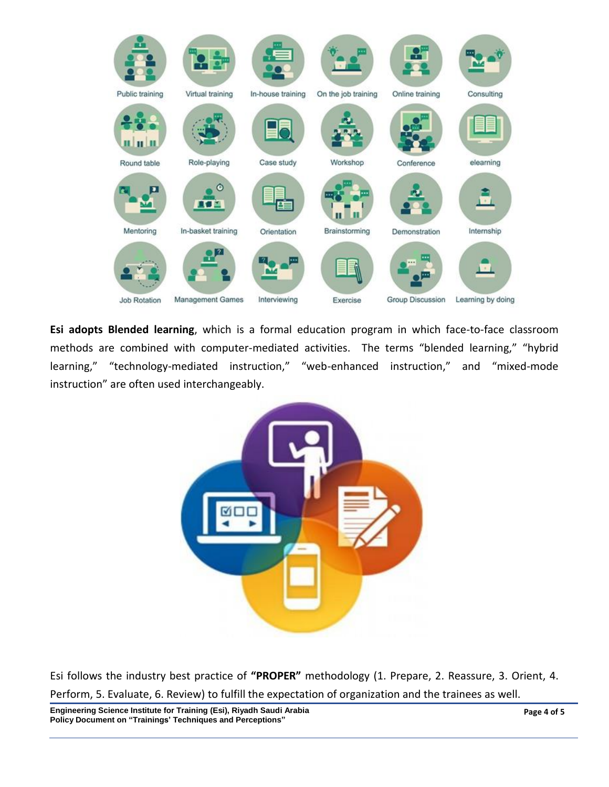

**Esi adopts Blended learning**, which is a formal education program in which face-to-face classroom methods are combined with computer-mediated activities. The terms "blended learning," "hybrid learning," "technology-mediated instruction," "web-enhanced instruction," and "mixed-mode instruction" are often used interchangeably.



Esi follows the industry best practice of **"PROPER"** methodology (1. Prepare, 2. Reassure, 3. Orient, 4. Perform, 5. Evaluate, 6. Review) to fulfill the expectation of organization and the trainees as well.